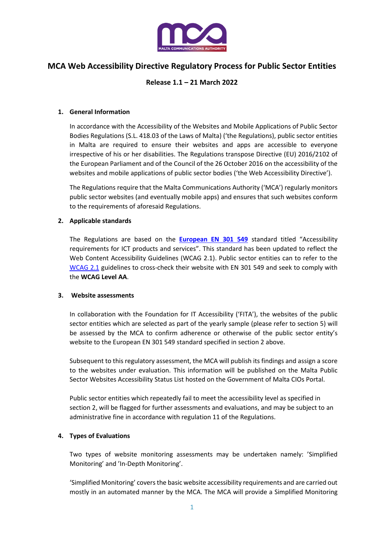

# **MCA Web Accessibility Directive Regulatory Process for Public Sector Entities**

# **Release 1.1 – 21 March 2022**

## **1. General Information**

In accordance with the Accessibility of the Websites and Mobile Applications of Public Sector Bodies Regulations (S.L. 418.03 of the Laws of Malta) ('the Regulations), public sector entities in Malta are required to ensure their websites and apps are accessible to everyone irrespective of his or her disabilities. The Regulations transpose Directive (EU) 2016/2102 of the European Parliament and of the Council of the 26 October 2016 on the accessibility of the websites and mobile applications of public sector bodies ('the Web Accessibility Directive').

The Regulations require that the Malta Communications Authority ('MCA') regularly monitors public sector websites (and eventually mobile apps) and ensures that such websites conform to the requirements of aforesaid Regulations.

## **2. Applicable standards**

The Regulations are based on the **[European EN 301 549](https://www.etsi.org/deliver/etsi_en/301500_301599/301549/03.02.01_60/en_301549v030201p.pdf)** standard titled "Accessibility requirements for ICT products and services". This standard has been updated to reflect the Web Content Accessibility Guidelines (WCAG 2.1). Public sector entities can to refer to the [WCAG 2.1](https://www.w3.org/TR/WCAG21/) guidelines to cross-check their website with EN 301 549 and seek to comply with the **WCAG Level AA**.

#### **3. Website assessments**

In collaboration with the Foundation for IT Accessibility ('FITA'), the websites of the public sector entities which are selected as part of the yearly sample (please refer to section 5) will be assessed by the MCA to confirm adherence or otherwise of the public sector entity's website to the European EN 301 549 standard specified in section 2 above.

Subsequent to this regulatory assessment, the MCA will publish its findings and assign a score to the websites under evaluation. This information will be published on the Malta Public Sector Websites Accessibility Status List hosted on the Government of Malta CIOs Portal.

Public sector entities which repeatedly fail to meet the accessibility level as specified in section 2, will be flagged for further assessments and evaluations, and may be subject to an administrative fine in accordance with regulation 11 of the Regulations.

## **4. Types of Evaluations**

Two types of website monitoring assessments may be undertaken namely: 'Simplified Monitoring' and 'In-Depth Monitoring'.

'Simplified Monitoring' covers the basic website accessibility requirements and are carried out mostly in an automated manner by the MCA. The MCA will provide a Simplified Monitoring